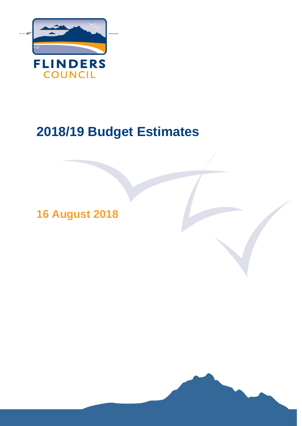

# **2018/19 Budget Estimates**

**16 August 2018**

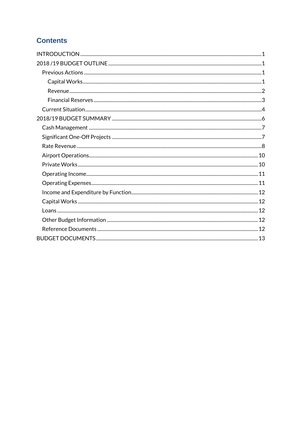# **Contents**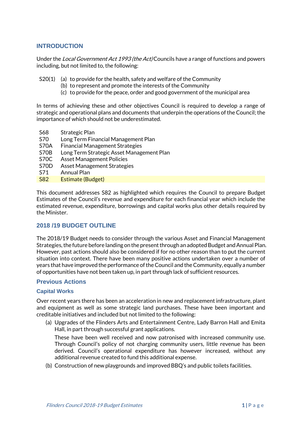# <span id="page-3-0"></span>**INTRODUCTION**

Under the Local Government Act 1993 (the Act) Councils have a range of functions and powers including, but not limited to, the following:

- $S20(1)$  (a) to provide for the health, safety and welfare of the Community
	- (b) to represent and promote the interests of the Community
		- (c) to provide for the peace, order and good government of the municipal area

In terms of achieving these and other objectives Council is required to develop a range of strategic and operational plans and documents that underpin the operations of the Council; the importance of which should not be underestimated.

- S68 Strategic Plan
- S70 Long Term Financial Management Plan
- S70A Financial Management Strategies
- S70B Long Term Strategic Asset Management Plan
- S70C Asset Management Policies
- S70D Asset Management Strategies
- S71 Annual Plan
- S82 Estimate (Budget)

This document addresses S82 as highlighted which requires the Council to prepare Budget Estimates of the Council's revenue and expenditure for each financial year which include the estimated revenue, expenditure, borrowings and capital works plus other details required by the Minister.

#### <span id="page-3-1"></span>**2018 /19 BUDGET OUTLINE**

The 2018/19 Budget needs to consider through the various Asset and Financial Management Strategies,the future before landing on the present through an adopted Budget and Annual Plan. However, past actions should also be considered if for no other reason than to put the current situation into context. There have been many positive actions undertaken over a number of years that have improved the performance of the Council and the Community, equally a number of opportunities have not been taken up, in part through lack of sufficient resources.

#### <span id="page-3-2"></span>**Previous Actions**

#### <span id="page-3-3"></span>**Capital Works**

Over recent years there has been an acceleration in new and replacement infrastructure, plant and equipment as well as some strategic land purchases. These have been important and creditable initiatives and included but not limited to the following:

(a) Upgrades of the Flinders Arts and Entertainment Centre, Lady Barron Hall and Emita Hall, in part through successful grant applications.

These have been well received and now patronised with increased community use. Through Council's policy of not charging community users, little revenue has been derived. Council's operational expenditure has however increased, without any additional revenue created to fund this additional expense.

(b) Construction of new playgrounds and improved BBQ's and public toilets facilities.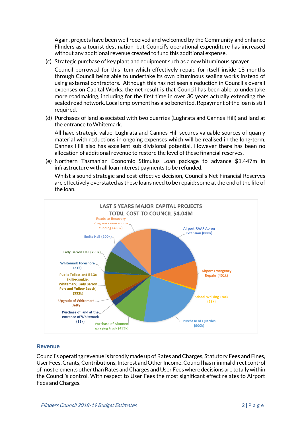Again, projects have been well received and welcomed by the Community and enhance Flinders as a tourist destination, but Council's operational expenditure has increased without any additional revenue created to fund this additional expense.

(c) Strategic purchase of key plant and equipment such as a new bituminous sprayer.

Council borrowed for this item which effectively repaid for itself inside 18 months through Council being able to undertake its own bituminous sealing works instead of using external contractors. Although this has not seen a reduction in Council's overall expenses on Capital Works, the net result is that Council has been able to undertake more roadmaking, including for the first time in over 30 years actually extending the sealed road network. Local employment has also benefited. Repayment of the loan is still required.

(d) Purchases of land associated with two quarries (Lughrata and Cannes Hill) and land at the entrance to Whitemark.

All have strategic value. Lughrata and Cannes Hill secures valuable sources of quarry material with reductions in ongoing expenses which will be realised in the long-term. Cannes Hill also has excellent sub divisional potential. However there has been no allocation of additional revenue to restore the level of these financial reserves.

(e) Northern Tasmanian Economic Stimulus Loan package to advance \$1.447m in infrastructure with all loan interest payments to be refunded.

Whilst a sound strategic and cost-effective decision, Council's Net Financial Reserves are effectively overstated as these loans need to be repaid; some at the end of the life of the loan.



#### <span id="page-4-0"></span>**Revenue**

Council's operating revenue is broadly made up of Rates and Charges, Statutory Fees and Fines, User Fees, Grants, Contributions, Interest and Other Income. Council has minimal direct control of most elements other than Rates and Charges and User Feeswhere decisions are totally within the Council's control. With respect to User Fees the most significant effect relates to Airport Fees and Charges.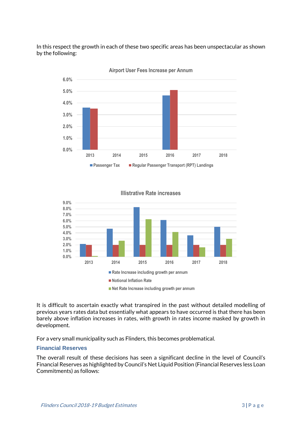In this respect the growth in each of these two specific areas has been unspectacular as shown by the following:



**Airport User Fees Increase per Annum**

**Illistrative Rate increases** 



**Net Rate Increase including growth per annum**

It is difficult to ascertain exactly what transpired in the past without detailed modelling of previous years rates data but essentially what appears to have occurred is that there has been barely above inflation increases in rates, with growth in rates income masked by growth in development.

For a very small municipality such as Flinders, this becomes problematical.

#### <span id="page-5-0"></span>**Financial Reserves**

The overall result of these decisions has seen a significant decline in the level of Council's Financial Reserves as highlighted by Council's Net Liquid Position (Financial Reserves less Loan Commitments) as follows: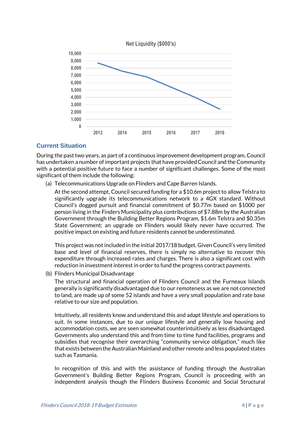

### <span id="page-6-0"></span>**Current Situation**

During the past two years, as part of a continuous improvement development program, Council has undertaken a number of important projects that have provided Council and the Community with a potential positive future to face a number of significant challenges. Some of the most significant of them include the following:

(a) Telecommunications Upgrade on Flinders and Cape Barren Islands.

At the second attempt, Council secured funding for a \$10.6m project to allow Telstra to significantly upgrade its telecommunications network to a 4GX standard. Without Council's dogged pursuit and financial commitment of \$0.77m based on \$1000 per person living in the Finders Municipality plus contributions of \$7.88m by the Australian Government through the Building Better Regions Program, \$1.6m Telstra and \$0.35m State Government; an upgrade on Flinders would likely never have occurred. The positive impact on existing and future residents cannot be underestimated.

This project was not included in the initial 2017/18 budget. Given Council's very limited base and level of financial reserves, there is simply no alternative to recover this expenditure through increased rates and charges. There is also a significant cost with reduction in investment interest in order to fund the progress contract payments.

(b) Flinders Municipal Disadvantage

The structural and financial operation of Flinders Council and the Furneaux Islands generally is significantly disadvantaged due to our remoteness as we are not connected to land, are made up of some 52 islands and have a very small population and rate base relative to our size and population.

Intuitively, all residents know and understand this and adapt lifestyle and operations to suit. In some instances, due to our unique lifestyle and generally low housing and accommodation costs, we are seen somewhat counterintuitively as less disadvantaged. Governments also understand this and from time to time fund facilities, programs and subsidies that recognise their overarching "community service obligation," much like that exists between the Australian Mainland and other remote and less populated states such as Tasmania.

In recognition of this and with the assistance of funding through the Australian Government's Building Better Regions Program, Council is proceeding with an independent analysis though the Flinders Business Economic and Social Structural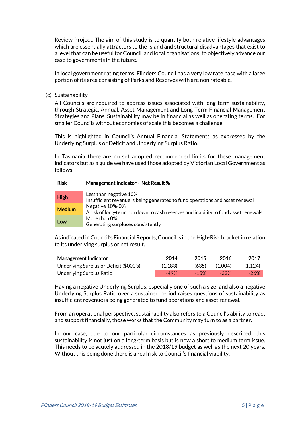Review Project. The aim of this study is to quantify both relative lifestyle advantages which are essentially attractors to the Island and structural disadvantages that exist to a level that can be useful for Council, and local organisations, to objectively advance our case to governments in the future.

In local government rating terms, Flinders Council has a very low rate base with a large portion of its area consisting of Parks and Reserves with are non rateable.

(c) Sustainability

All Councils are required to address issues associated with long term sustainability, through Strategic, Annual, Asset Management and Long Term Financial Management Strategies and Plans. Sustainability may be in financial as well as operating terms. For smaller Councils without economies of scale this becomes a challenge.

This is highlighted in Council's Annual Financial Statements as expressed by the Underlying Surplus or Deficit and Underlying Surplus Ratio.

In Tasmania there are no set adopted recommended limits for these management indicators but as a guide we have used those adopted by Victorian Local Government as follows:

#### Risk Management Indicator - Net Result %

| <b>High</b>   | Less than negative 10%<br>Insufficient revenue is being generated to fund operations and asset renewal |
|---------------|--------------------------------------------------------------------------------------------------------|
| <b>Medium</b> | Negative 10%-0%<br>A risk of long-term run down to cash reserves and inability to fund asset renewals  |
| Low           | More than 0%<br>Generating surpluses consistently                                                      |

As indicated in Council's Financial Reports,Council is in the High-Risk bracket in relation to its underlying surplus or net result.

| Management Indicator                    | 2014    | 2015   | -2016   | 2017    |
|-----------------------------------------|---------|--------|---------|---------|
| Underlying Surplus or Deficit (\$000's) | (1.183) | (635)  | (1.004) | (1.124) |
| Underlying Surplus Ratio                | $-49%$  | $-15%$ | $-22\%$ | -26%    |

Having a negative Underlying Surplus, especially one of such a size, and also a negative Underlying Surplus Ratio over a sustained period raises questions of sustainability as insufficient revenue is being generated to fund operations and asset renewal.

From an operational perspective, sustainability also refers to a Council's ability to react and support financially, those works that the Community may turn to as a partner.

In our case, due to our particular circumstances as previously described, this sustainability is not just on a long-term basis but is now a short to medium term issue. This needs to be acutely addressed in the 2018/19 budget as well as the next 20 years. Without this being done there is a real risk to Council's financial viability.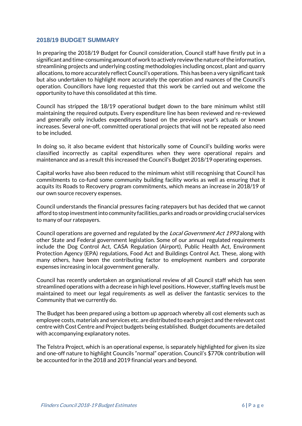#### <span id="page-8-0"></span>**2018/19 BUDGET SUMMARY**

In preparing the 2018/19 Budget for Council consideration, Council staff have firstly put in a significant and time-consuming amount of work to actively review the nature of the information, streamlining projects and underlying costing methodologies including oncost, plant and quarry allocations, to more accurately reflect Council's operations. This has been a very significant task but also undertaken to highlight more accurately the operation and nuances of the Council's operation. Councillors have long requested that this work be carried out and welcome the opportunity to have this consolidated at this time.

Council has stripped the 18/19 operational budget down to the bare minimum whilst still maintaining the required outputs. Every expenditure line has been reviewed and re-reviewed and generally only includes expenditures based on the previous year's actuals or known increases. Several one-off, committed operational projects that will not be repeated also need to be included.

In doing so, it also became evident that historically some of Council's building works were classified incorrectly as capital expenditures when they were operational repairs and maintenance and as a result this increased the Council's Budget 2018/19 operating expenses.

Capital works have also been reduced to the minimum whist still recognising that Council has commitments to co-fund some community building facility works as well as ensuring that it acquits its Roads to Recovery program commitments, which means an increase in 2018/19 of our own source recovery expenses.

Council understands the financial pressures facing ratepayers but has decided that we cannot afford to stop investment into community facilities, parks and roads or providing crucial services to many of our ratepayers.

Council operations are governed and regulated by the Local Government Act 1993 along with other State and Federal government legislation. Some of our annual regulated requirements include the Dog Control Act, CASA Regulation (Airport), Public Health Act, Environment Protection Agency (EPA) regulations, Food Act and Buildings Control Act. These, along with many others, have been the contributing factor to employment numbers and corporate expenses increasing in local government generally.

Council has recently undertaken an organisational review of all Council staff which has seen streamlined operations with a decrease in high level positions. However, staffing levels must be maintained to meet our legal requirements as well as deliver the fantastic services to the Community that we currently do.

The Budget has been prepared using a bottom up approach whereby all cost elements such as employee costs, materials and services etc. are distributed to each project and the relevant cost centre withCost Centre and Project budgets being established. Budget documents are detailed with accompanying explanatory notes.

The Telstra Project, which is an operational expense, is separately highlighted for given its size and one-off nature to highlight Councils "normal" operation. Council's \$770k contribution will be accounted for in the 2018 and 2019 financial years and beyond.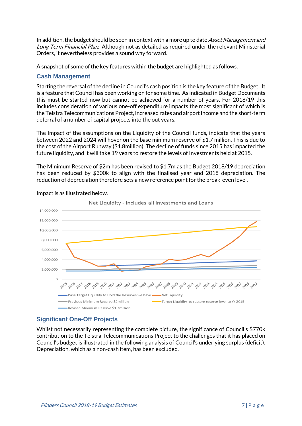In addition, the budget should be seen in context with a more up to date Asset Management and Long Term Financial Plan. Although not as detailed as required under the relevant Ministerial Orders, it nevertheless provides a sound way forward.

A snapshot of some of the key features within the budget are highlighted as follows.

### <span id="page-9-0"></span>**Cash Management**

Starting the reversal of the decline in Council's cash position is the key feature of the Budget. It is a feature that Council has been working on for some time. As indicated in Budget Documents this must be started now but cannot be achieved for a number of years. For 2018/19 this includes consideration of various one-off expenditure impacts the most significant of which is the Telstra Telecommunications Project, increased rates and airport income and the short-term deferral of a number of capital projects into the out years.

The Impact of the assumptions on the Liquidity of the Council funds, indicate that the years between 2022 and 2024 will hover on the base minimum reserve of \$1.7 million. This is due to the cost of the Airport Runway (\$1.8million). The decline of funds since 2015 has impacted the future liquidity, and it will take 19 years to restore the levels of Investments held at 2015.

The Minimum Reserve of \$2m has been revised to \$1.7m as the Budget 2018/19 depreciation has been reduced by \$300k to align with the finalised year end 2018 depreciation. The reduction of depreciation therefore sets a new reference point for the break-even level.



Impact is as illustrated below.

# <span id="page-9-1"></span>**Significant One-Off Projects**

Whilst not necessarily representing the complete picture, the significance of Council's \$770k contribution to the Telstra Telecommunications Project to the challenges that it has placed on Council's budget is illustrated in the following analysis of Council's underlying surplus (deficit). Depreciation, which as a non-cash item, has been excluded.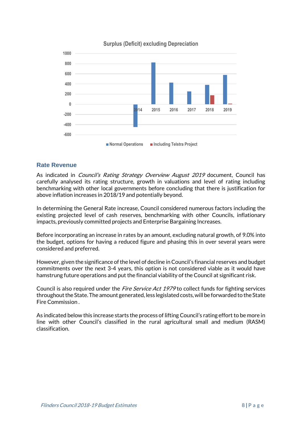

#### **Surplus (Deficit) excluding Depreciation**

#### <span id="page-10-0"></span>**Rate Revenue**

As indicated in *Council's Rating Strategy Overview August 2019* document, Council has carefully analysed its rating structure, growth in valuations and level of rating including benchmarking with other local governments before concluding that there is justification for above inflation increases in 2018/19 and potentially beyond.

In determining the General Rate increase, Council considered numerous factors including the existing projected level of cash reserves, benchmarking with other Councils, inflationary impacts, previously committed projects and Enterprise Bargaining Increases.

Before incorporating an increase in rates by an amount, excluding natural growth, of 9.0% into the budget, options for having a reduced figure and phasing this in over several years were considered and preferred.

However, given the significance of the level of decline in Council's financial reserves and budget commitments over the next 3-4 years, this option is not considered viable as it would have hamstrung future operations and put the financial viability of the Council at significant risk.

Council is also required under the *Fire Service Act 1979* to collect funds for fighting services throughout the State. The amount generated, less legislated costs, will be forwarded to the State Fire Commission .

As indicated below this increase starts the process of lifting Council's rating effort to be more in line with other Council's classified in the rural agricultural small and medium (RASM) classification.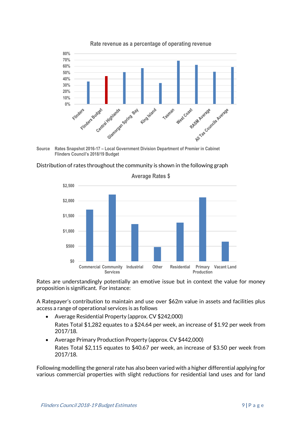

**Source Rates Snapshot 2016-17 – Local Government Division Department of Premier in Cabinet Flinders Council's 2018/19 Budget**





**Average Rates \$**

Rates are understandingly potentially an emotive issue but in context the value for money proposition is significant. For instance:

A Ratepayer's contribution to maintain and use over \$62m value in assets and facilities plus access a range of operational services is as follows

- Average Residential Property (approx. CV \$242,000) Rates Total \$1,282 equates to a \$24.64 per week, an increase of \$1.92 per week from 2017/18.
- Average Primary Production Property (approx. CV \$442,000) Rates Total \$2,115 equates to \$40.67 per week, an increase of \$3.50 per week from 2017/18.

Following modelling the general rate has also been varied with a higher differential applying for various commercial properties with slight reductions for residential land uses and for land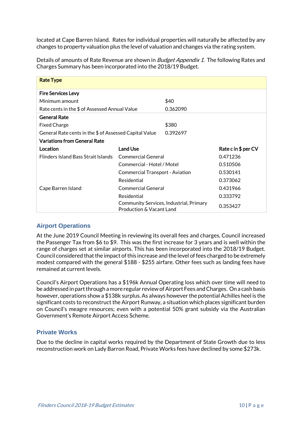located at Cape Barren Island. Rates for individual properties will naturally be affected by any changes to property valuation plus the level of valuation and changes via the rating system.

Details of amounts of Rate Revenue are shown in *Budget Appendix 1*. The following Rates and Charges Summary has been incorporated into the 2018/19 Budget.

| <b>Rate Type</b>                                       |                                        |                                         |                      |
|--------------------------------------------------------|----------------------------------------|-----------------------------------------|----------------------|
| <b>Fire Services Levy</b>                              |                                        |                                         |                      |
| Minimum amount                                         |                                        | \$40                                    |                      |
| Rate cents in the \$ of Assessed Annual Value          |                                        | 0.362090                                |                      |
| <b>General Rate</b>                                    |                                        |                                         |                      |
| <b>Fixed Charge</b>                                    |                                        | \$380                                   |                      |
| General Rate cents in the \$ of Assessed Capital Value |                                        | 0.392697                                |                      |
| <b>Variations from General Rate</b>                    |                                        |                                         |                      |
| Location                                               | Land Use                               |                                         | Rate c in $$$ per CV |
| <b>Flinders Island Bass Strait Islands</b>             | Commercial General                     |                                         | 0.471236             |
|                                                        | Commercial - Hotel / Motel             |                                         | 0.510506             |
|                                                        | <b>Commercial Transport - Aviation</b> |                                         | 0.530141             |
|                                                        | Residential                            |                                         | 0.373062             |
| Cape Barren Island                                     | <b>Commercial General</b>              |                                         | 0.431966             |
|                                                        | Residential                            |                                         | 0.333792             |
|                                                        | <b>Production &amp; Vacant Land</b>    | Community Services, Industrial, Primary | 0.353427             |

#### <span id="page-12-0"></span>**Airport Operations**

At the June 2019 Council Meeting in reviewing its overall fees and charges, Council increased the Passenger Tax from \$6 to \$9. This was the first increase for 3 years and is well within the range of charges set at similar airports. This has been incorporated into the 2018/19 Budget. Council considered that the impact ofthis increase and the level of fees charged to be extremely modest compared with the general \$188 - \$255 airfare. Other fees such as landing fees have remained at current levels.

Council's Airport Operations has a \$196k Annual Operating loss which over time will need to be addressed in part through a more regular review of Airport Fees and Charges. On a cash basis however, operations show a \$138k surplus. As always however the potential Achilles heel is the significant costs to reconstruct the Airport Runway, a situation which places significant burden on Council's meagre resources; even with a potential 50% grant subsidy via the Australian Government's Remote Airport Access Scheme.

#### <span id="page-12-1"></span>**Private Works**

Due to the decline in capital works required by the Department of State Growth due to less reconstruction work on Lady Barron Road, Private Works fees have declined by some \$273k.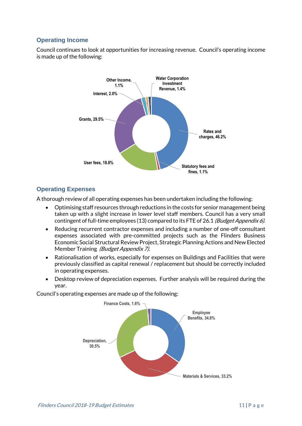# <span id="page-13-0"></span>**Operating Income**

Council continues to look at opportunities for increasing revenue. Council's operating income is made up of the following:



# <span id="page-13-1"></span>**Operating Expenses**

A thorough review of all operating expenses has been undertaken including the following:

- Optimising staff resources through reductions in the costs for senior management being taken up with a slight increase in lower level staff members. Council has a very small contingent of full-time employees (13) compared to its FTE of 26.1 (Budget Appendix 6).
- Reducing recurrent contractor expenses and including a number of one-off consultant expenses associated with pre-committed projects such as the Flinders Business Economic Social Structural Review Project, Strategic Planning Actions and New Elected Member Training (Budget Appendix 7).
- Rationalisation of works, especially for expenses on Buildings and Facilities that were previously classified as capital renewal / replacement but should be correctly included in operating expenses.
- Desktop review of depreciation expenses. Further analysis will be required during the year.

Council's operating expenses are made up of the following:

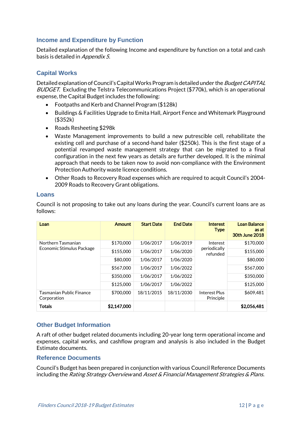#### <span id="page-14-0"></span>**Income and Expenditure by Function**

Detailed explanation of the following Income and expenditure by function on a total and cash basis is detailed in Appendix 5.

# <span id="page-14-1"></span>**Capital Works**

Detailed explanation of Council's Capital Works Program is detailed under the Budget CAPITAL BUDGET. Excluding the Telstra Telecommunications Project (\$770k), which is an operational expense, the Capital Budget includes the following:

- Footpaths and Kerb and Channel Program (\$128k)
- Buildings & Facilities Upgrade to Emita Hall, Airport Fence and Whitemark Playground (\$352k)
- Roads Resheeting \$298k
- Waste Management improvements to build a new putrescible cell, rehabilitate the existing cell and purchase of a second-hand baler (\$250k). This is the first stage of a potential revamped waste management strategy that can be migrated to a final configuration in the next few years as details are further developed. It is the minimal approach that needs to be taken now to avoid non-compliance with the Environment Protection Authority waste licence conditions.
- Other Roads to Recovery Road expenses which are required to acquit Council's 2004- 2009 Roads to Recovery Grant obligations.

#### <span id="page-14-2"></span>**Loans**

Council is not proposing to take out any loans during the year. Council's current loans are as follows:

| Loan                                            | <b>Amount</b> | <b>Start Date</b> | <b>End Date</b> | <b>Interest</b><br><b>Type</b>       | <b>Loan Balance</b><br>as at<br><b>30th June 2018</b> |
|-------------------------------------------------|---------------|-------------------|-----------------|--------------------------------------|-------------------------------------------------------|
| Northern Tasmanian<br>Economic Stimulus Package | \$170,000     | 1/06/2017         | 1/06/2019       | Interest<br>periodically<br>refunded | \$170,000                                             |
|                                                 | \$155,000     | 1/06/2017         | 1/06/2020       |                                      | \$155,000                                             |
|                                                 | \$80,000      | 1/06/2017         | 1/06/2020       |                                      | \$80,000                                              |
|                                                 | \$567,000     | 1/06/2017         | 1/06/2022       |                                      | \$567,000                                             |
|                                                 | \$350,000     | 1/06/2017         | 1/06/2022       |                                      | \$350,000                                             |
|                                                 | \$125,000     | 1/06/2017         | 1/06/2022       |                                      | \$125,000                                             |
| Tasmanian Public Finance<br>Corporation         | \$700,000     | 18/11/2015        | 18/11/2030      | Interest Plus<br>Principle           | \$609,481                                             |
| <b>Totals</b>                                   | \$2,147,000   |                   |                 |                                      | \$2,056,481                                           |

#### <span id="page-14-3"></span>**Other Budget Information**

A raft of other budget related documents including 20-year long term operational income and expenses, capital works, and cashflow program and analysis is also included in the Budget Estimate documents.

#### <span id="page-14-4"></span>**Reference Documents**

Council's Budget has been prepared in conjunction with various Council Reference Documents including the Rating Strategy Overview and Asset & Financial Management Strategies & Plans.